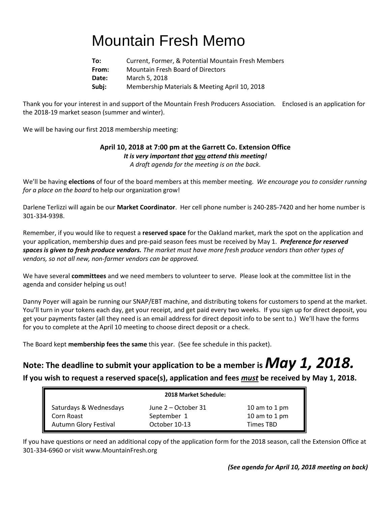# Mountain Fresh Memo

| To:   | Current, Former, & Potential Mountain Fresh Members |
|-------|-----------------------------------------------------|
| From: | <b>Mountain Fresh Board of Directors</b>            |
| Date: | March 5, 2018                                       |
| Subj: | Membership Materials & Meeting April 10, 2018       |

Thank you for your interest in and support of the Mountain Fresh Producers Association. Enclosed is an application for the 2018-19 market season (summer and winter).

We will be having our first 2018 membership meeting:

### **April 10, 2018 at 7:00 pm at the Garrett Co. Extension Office** *It is very important that you attend this meeting!*

*A draft agenda for the meeting is on the back.*

We'll be having **elections** of four of the board members at this member meeting. *We encourage you to consider running for a place on the board* to help our organization grow!

Darlene Terlizzi will again be our **Market Coordinator**. Her cell phone number is 240-285-7420 and her home number is 301-334-9398.

Remember, if you would like to request a **reserved space** for the Oakland market, mark the spot on the application and your application, membership dues and pre-paid season fees must be received by May 1. *Preference for reserved spaces is given to fresh produce vendors. The market must have more fresh produce vendors than other types of vendors, so not all new, non-farmer vendors can be approved.*

We have several **committees** and we need members to volunteer to serve. Please look at the committee list in the agenda and consider helping us out!

Danny Poyer will again be running our SNAP/EBT machine, and distributing tokens for customers to spend at the market. You'll turn in your tokens each day, get your receipt, and get paid every two weeks. If you sign up for direct deposit, you get your payments faster (all they need is an email address for direct deposit info to be sent to.) We'll have the forms for you to complete at the April 10 meeting to choose direct deposit or a check.

The Board kept **membership fees the same** this year. (See fee schedule in this packet).

## **Note: The deadline to submit your application to be a member is** *May 1, 2018.*

**If you wish to request a reserved space(s), application and fees** *must* **be received by May 1, 2018.** 

| 2018 Market Schedule:  |                     |               |  |
|------------------------|---------------------|---------------|--|
| Saturdays & Wednesdays | June 2 – October 31 | 10 am to 1 pm |  |
| Corn Roast             | September 1         | 10 am to 1 pm |  |
| Autumn Glory Festival  | October 10-13       | Times TBD     |  |

If you have questions or need an additional copy of the application form for the 2018 season, call the Extension Office at 301-334-6960 or visit www.MountainFresh.org